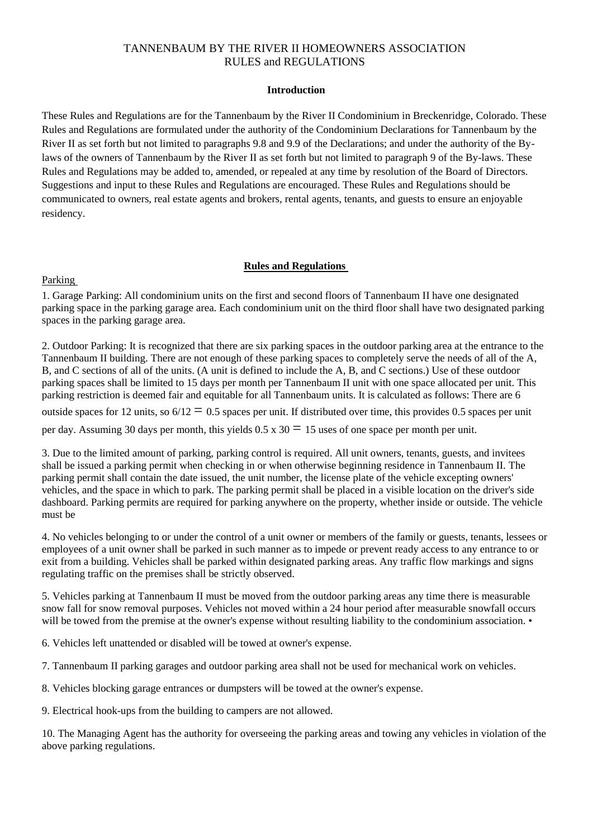# TANNENBAUM BY THE RIVER II HOMEOWNERS ASSOCIATION RULES and REGULATIONS

#### **Introduction**

These Rules and Regulations are for the Tannenbaum by the River II Condominium in Breckenridge, Colorado. These Rules and Regulations are formulated under the authority of the Condominium Declarations for Tannenbaum by the River II as set forth but not limited to paragraphs 9.8 and 9.9 of the Declarations; and under the authority of the Bylaws of the owners of Tannenbaum by the River II as set forth but not limited to paragraph 9 of the By-laws. These Rules and Regulations may be added to, amended, or repealed at any time by resolution of the Board of Directors. Suggestions and input to these Rules and Regulations are encouraged. These Rules and Regulations should be communicated to owners, real estate agents and brokers, rental agents, tenants, and guests to ensure an enjoyable residency.

#### **Rules and Regulations**

#### Parking

1. Garage Parking: All condominium units on the first and second floors of Tannenbaum II have one designated parking space in the parking garage area. Each condominium unit on the third floor shall have two designated parking spaces in the parking garage area.

2. Outdoor Parking: It is recognized that there are six parking spaces in the outdoor parking area at the entrance to the Tannenbaum II building. There are not enough of these parking spaces to completely serve the needs of all of the A, B, and C sections of all of the units. (A unit is defined to include the A, B, and C sections.) Use of these outdoor parking spaces shall be limited to 15 days per month per Tannenbaum II unit with one space allocated per unit. This parking restriction is deemed fair and equitable for all Tannenbaum units. It is calculated as follows: There are 6 outside spaces for 12 units, so  $6/12 = 0.5$  spaces per unit. If distributed over time, this provides 0.5 spaces per unit per day. Assuming 30 days per month, this yields  $0.5 \times 30 = 15$  uses of one space per month per unit.

3. Due to the limited amount of parking, parking control is required. All unit owners, tenants, guests, and invitees shall be issued a parking permit when checking in or when otherwise beginning residence in Tannenbaum II. The parking permit shall contain the date issued, the unit number, the license plate of the vehicle excepting owners' vehicles, and the space in which to park. The parking permit shall be placed in a visible location on the driver's side dashboard. Parking permits are required for parking anywhere on the property, whether inside or outside. The vehicle must be

4. No vehicles belonging to or under the control of a unit owner or members of the family or guests, tenants, lessees or employees of a unit owner shall be parked in such manner as to impede or prevent ready access to any entrance to or exit from a building. Vehicles shall be parked within designated parking areas. Any traffic flow markings and signs regulating traffic on the premises shall be strictly observed.

5. Vehicles parking at Tannenbaum II must be moved from the outdoor parking areas any time there is measurable snow fall for snow removal purposes. Vehicles not moved within a 24 hour period after measurable snowfall occurs will be towed from the premise at the owner's expense without resulting liability to the condominium association. •

6. Vehicles left unattended or disabled will be towed at owner's expense.

7. Tannenbaum II parking garages and outdoor parking area shall not be used for mechanical work on vehicles.

8. Vehicles blocking garage entrances or dumpsters will be towed at the owner's expense.

9. Electrical hook-ups from the building to campers are not allowed.

10. The Managing Agent has the authority for overseeing the parking areas and towing any vehicles in violation of the above parking regulations.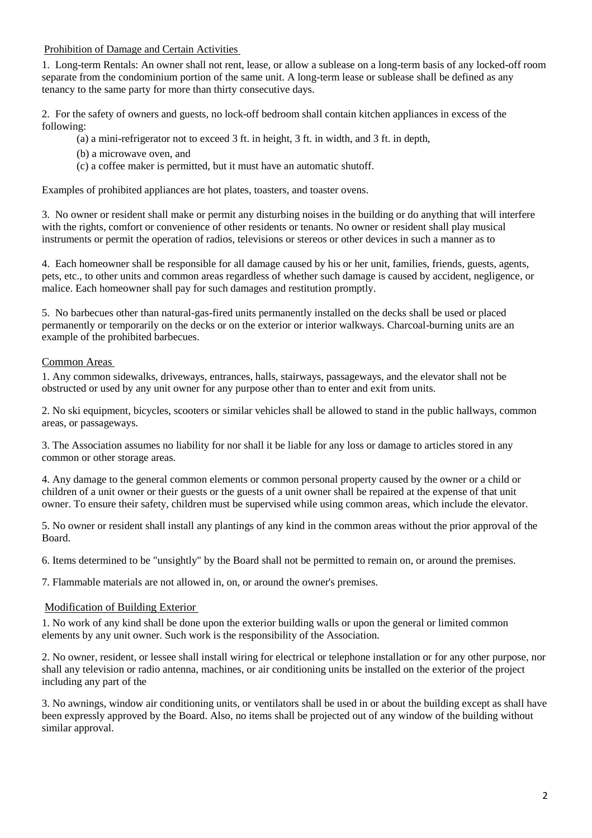#### Prohibition of Damage and Certain Activities

1. Long-term Rentals: An owner shall not rent, lease, or allow a sublease on a long-term basis of any locked-off room separate from the condominium portion of the same unit. A long-term lease or sublease shall be defined as any tenancy to the same party for more than thirty consecutive days.

2. For the safety of owners and guests, no lock-off bedroom shall contain kitchen appliances in excess of the following:

(a) a mini-refrigerator not to exceed 3 ft. in height, 3 ft. in width, and 3 ft. in depth,

- (b) a microwave oven, and
- (c) a coffee maker is permitted, but it must have an automatic shutoff.

Examples of prohibited appliances are hot plates, toasters, and toaster ovens.

3. No owner or resident shall make or permit any disturbing noises in the building or do anything that will interfere with the rights, comfort or convenience of other residents or tenants. No owner or resident shall play musical instruments or permit the operation of radios, televisions or stereos or other devices in such a manner as to

4. Each homeowner shall be responsible for all damage caused by his or her unit, families, friends, guests, agents, pets, etc., to other units and common areas regardless of whether such damage is caused by accident, negligence, or malice. Each homeowner shall pay for such damages and restitution promptly.

5. No barbecues other than natural-gas-fired units permanently installed on the decks shall be used or placed permanently or temporarily on the decks or on the exterior or interior walkways. Charcoal-burning units are an example of the prohibited barbecues.

#### Common Areas

1. Any common sidewalks, driveways, entrances, halls, stairways, passageways, and the elevator shall not be obstructed or used by any unit owner for any purpose other than to enter and exit from units.

2. No ski equipment, bicycles, scooters or similar vehicles shall be allowed to stand in the public hallways, common areas, or passageways.

3. The Association assumes no liability for nor shall it be liable for any loss or damage to articles stored in any common or other storage areas.

4. Any damage to the general common elements or common personal property caused by the owner or a child or children of a unit owner or their guests or the guests of a unit owner shall be repaired at the expense of that unit owner. To ensure their safety, children must be supervised while using common areas, which include the elevator.

5. No owner or resident shall install any plantings of any kind in the common areas without the prior approval of the Board.

6. Items determined to be "unsightly" by the Board shall not be permitted to remain on, or around the premises.

7. Flammable materials are not allowed in, on, or around the owner's premises.

#### Modification of Building Exterior

1. No work of any kind shall be done upon the exterior building walls or upon the general or limited common elements by any unit owner. Such work is the responsibility of the Association.

2. No owner, resident, or lessee shall install wiring for electrical or telephone installation or for any other purpose, nor shall any television or radio antenna, machines, or air conditioning units be installed on the exterior of the project including any part of the

3. No awnings, window air conditioning units, or ventilators shall be used in or about the building except as shall have been expressly approved by the Board. Also, no items shall be projected out of any window of the building without similar approval.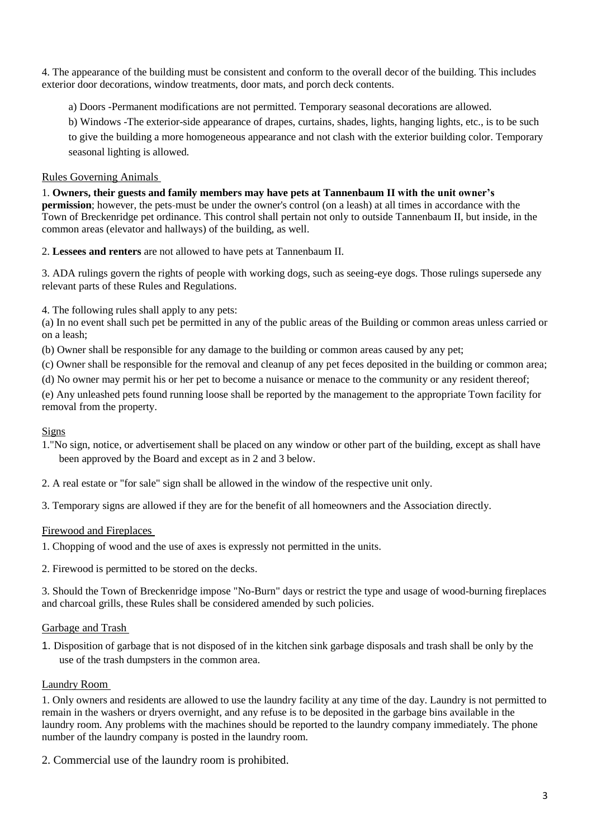4. The appearance of the building must be consistent and conform to the overall decor of the building. This includes exterior door decorations, window treatments, door mats, and porch deck contents.

a) Doors -Permanent modifications are not permitted. Temporary seasonal decorations are allowed.

b) Windows -The exterior-side appearance of drapes, curtains, shades, lights, hanging lights, etc., is to be such to give the building a more homogeneous appearance and not clash with the exterior building color. Temporary seasonal lighting is allowed.

## Rules Governing Animals

1. **Owners, their guests and family members may have pets at Tannenbaum II with the unit owner's permission**; however, the pets-must be under the owner's control (on a leash) at all times in accordance with the Town of Breckenridge pet ordinance. This control shall pertain not only to outside Tannenbaum II, but inside, in the common areas (elevator and hallways) of the building, as well.

2. **Lessees and renters** are not allowed to have pets at Tannenbaum II.

3. ADA rulings govern the rights of people with working dogs, such as seeing-eye dogs. Those rulings supersede any relevant parts of these Rules and Regulations.

4. The following rules shall apply to any pets:

(a) In no event shall such pet be permitted in any of the public areas of the Building or common areas unless carried or on a leash;

(b) Owner shall be responsible for any damage to the building or common areas caused by any pet;

(c) Owner shall be responsible for the removal and cleanup of any pet feces deposited in the building or common area;

(d) No owner may permit his or her pet to become a nuisance or menace to the community or any resident thereof;

(e) Any unleashed pets found running loose shall be reported by the management to the appropriate Town facility for removal from the property.

## Signs

- 1."No sign, notice, or advertisement shall be placed on any window or other part of the building, except as shall have been approved by the Board and except as in 2 and 3 below.
- 2. A real estate or "for sale" sign shall be allowed in the window of the respective unit only.

3. Temporary signs are allowed if they are for the benefit of all homeowners and the Association directly.

## Firewood and Fireplaces

- 1. Chopping of wood and the use of axes is expressly not permitted in the units.
- 2. Firewood is permitted to be stored on the decks.

3. Should the Town of Breckenridge impose "No-Burn" days or restrict the type and usage of wood-burning fireplaces and charcoal grills, these Rules shall be considered amended by such policies.

## Garbage and Trash

1. Disposition of garbage that is not disposed of in the kitchen sink garbage disposals and trash shall be only by the use of the trash dumpsters in the common area.

## Laundry Room

1. Only owners and residents are allowed to use the laundry facility at any time of the day. Laundry is not permitted to remain in the washers or dryers overnight, and any refuse is to be deposited in the garbage bins available in the laundry room. Any problems with the machines should be reported to the laundry company immediately. The phone number of the laundry company is posted in the laundry room.

2. Commercial use of the laundry room is prohibited.